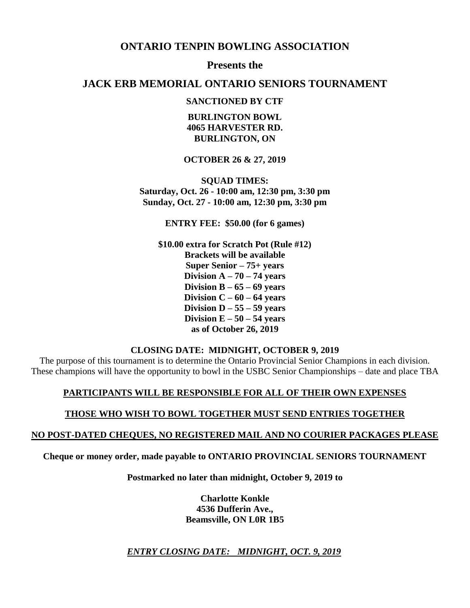## **ONTARIO TENPIN BOWLING ASSOCIATION**

**Presents the**

## **JACK ERB MEMORIAL ONTARIO SENIORS TOURNAMENT**

## **SANCTIONED BY CTF**

**BURLINGTON BOWL 4065 HARVESTER RD. BURLINGTON, ON** 

### **OCTOBER 26 & 27, 2019**

**SQUAD TIMES: Saturday, Oct. 26 - 10:00 am, 12:30 pm, 3:30 pm Sunday, Oct. 27 - 10:00 am, 12:30 pm, 3:30 pm**

**ENTRY FEE: \$50.00 (for 6 games)**

**\$10.00 extra for Scratch Pot (Rule #12) Brackets will be available Super Senior – 75+ years Division A – 70 – 74 years Division B – 65 – 69 years Division C – 60 – 64 years Division D – 55 – 59 years Division E – 50 – 54 years as of October 26, 2019**

#### **CLOSING DATE: MIDNIGHT, OCTOBER 9, 2019**

The purpose of this tournament is to determine the Ontario Provincial Senior Champions in each division. These champions will have the opportunity to bowl in the USBC Senior Championships – date and place TBA

### **PARTICIPANTS WILL BE RESPONSIBLE FOR ALL OF THEIR OWN EXPENSES**

## **THOSE WHO WISH TO BOWL TOGETHER MUST SEND ENTRIES TOGETHER**

### **NO POST-DATED CHEQUES, NO REGISTERED MAIL AND NO COURIER PACKAGES PLEASE**

**Cheque or money order, made payable to ONTARIO PROVINCIAL SENIORS TOURNAMENT**

**Postmarked no later than midnight, October 9, 2019 to** 

**Charlotte Konkle 4536 Dufferin Ave., Beamsville, ON L0R 1B5**

*ENTRY CLOSING DATE: MIDNIGHT, OCT. 9, 2019*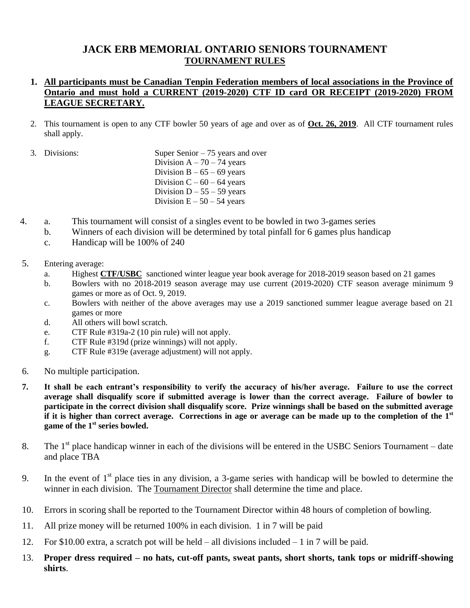# **JACK ERB MEMORIAL ONTARIO SENIORS TOURNAMENT TOURNAMENT RULES**

## **1. All participants must be Canadian Tenpin Federation members of local associations in the Province of Ontario and must hold a CURRENT (2019-2020) CTF ID card OR RECEIPT (2019-2020) FROM LEAGUE SECRETARY.**

- 2. This tournament is open to any CTF bowler 50 years of age and over as of **Oct. 26, 2019**. All CTF tournament rules shall apply.
- 3. Divisions: Super Senior 75 years and over Division  $A - 70 - 74$  years Division  $B - 65 - 69$  years Division  $C - 60 - 64$  years Division  $D - 55 - 59$  years Division  $E - 50 - 54$  years
- 4. a. This tournament will consist of a singles event to be bowled in two 3-games series
	- b. Winners of each division will be determined by total pinfall for 6 games plus handicap
	- c. Handicap will be 100% of 240
- 5. Entering average:
	- a. Highest **CTF/USBC** sanctioned winter league year book average for 2018-2019 season based on 21 games
	- b. Bowlers with no 2018-2019 season average may use current (2019-2020) CTF season average minimum 9 games or more as of Oct. 9, 2019.
	- c. Bowlers with neither of the above averages may use a 2019 sanctioned summer league average based on 21 games or more
	- d. All others will bowl scratch.
	- e. CTF Rule #319a-2 (10 pin rule) will not apply.
	- f. CTF Rule #319d (prize winnings) will not apply.
	- g. CTF Rule #319e (average adjustment) will not apply.
- 6. No multiple participation.
- **7. It shall be each entrant's responsibility to verify the accuracy of his/her average. Failure to use the correct average shall disqualify score if submitted average is lower than the correct average. Failure of bowler to participate in the correct division shall disqualify score. Prize winnings shall be based on the submitted average if it is higher than correct average. Corrections in age or average can be made up to the completion of the 1st game of the 1st series bowled.**
- 8. The  $1<sup>st</sup>$  place handicap winner in each of the divisions will be entered in the USBC Seniors Tournament date and place TBA
- 9. In the event of  $1<sup>st</sup>$  place ties in any division, a 3-game series with handicap will be bowled to determine the winner in each division. The Tournament Director shall determine the time and place.
- 10. Errors in scoring shall be reported to the Tournament Director within 48 hours of completion of bowling.
- 11. All prize money will be returned 100% in each division. 1 in 7 will be paid
- 12. For \$10.00 extra, a scratch pot will be held all divisions included 1 in 7 will be paid.
- 13. **Proper dress required – no hats, cut-off pants, sweat pants, short shorts, tank tops or midriff-showing shirts**.